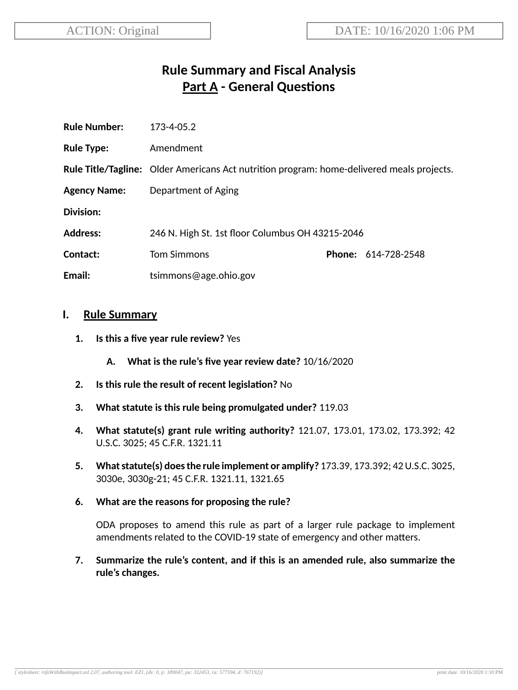# **Rule Summary and Fiscal Analysis Part A - General Questions**

| <b>Rule Number:</b> | 173-4-05.2                                                                                       |  |                            |
|---------------------|--------------------------------------------------------------------------------------------------|--|----------------------------|
| <b>Rule Type:</b>   | Amendment                                                                                        |  |                            |
|                     | <b>Rule Title/Tagline:</b> Older Americans Act nutrition program: home-delivered meals projects. |  |                            |
| <b>Agency Name:</b> | Department of Aging                                                                              |  |                            |
| Division:           |                                                                                                  |  |                            |
| <b>Address:</b>     | 246 N. High St. 1st floor Columbus OH 43215-2046                                                 |  |                            |
| Contact:            | <b>Tom Simmons</b>                                                                               |  | <b>Phone: 614-728-2548</b> |
| Email:              | tsimmons@age.ohio.gov                                                                            |  |                            |

#### **I. Rule Summary**

- **1. Is this a five year rule review?** Yes
	- **A. What is the rule's five year review date?** 10/16/2020
- **2.** Is this rule the result of recent legislation? No
- **3. What statute is this rule being promulgated under?** 119.03
- **4. What statute(s) grant rule wring authority?** 121.07, 173.01, 173.02, 173.392; 42 U.S.C. 3025; 45 C.F.R. 1321.11
- **5. Whatstatute(s) doesthe rule implement or amplify?** 173.39, 173.392; 42U.S.C. 3025, 3030e, 3030g-21; 45 C.F.R. 1321.11, 1321.65
- **6. What are the reasons for proposing the rule?**

ODA proposes to amend this rule as part of a larger rule package to implement amendments related to the COVID-19 state of emergency and other matters.

**7. Summarize the rule's content, and if this is an amended rule, also summarize the rule's changes.**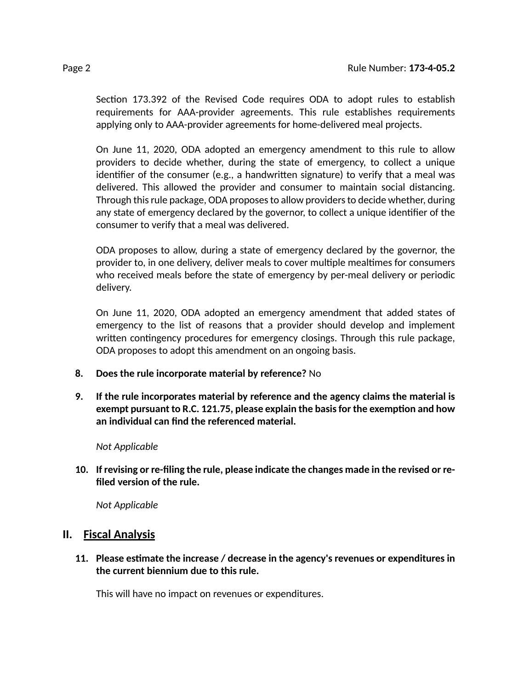Section 173.392 of the Revised Code requires ODA to adopt rules to establish requirements for AAA-provider agreements. This rule establishes requirements applying only to AAA-provider agreements for home-delivered meal projects.

On June 11, 2020, ODA adopted an emergency amendment to this rule to allow providers to decide whether, during the state of emergency, to collect a unique identifier of the consumer (e.g., a handwritten signature) to verify that a meal was delivered. This allowed the provider and consumer to maintain social distancing. Through thisrule package, ODA proposesto allow providersto decide whether, during any state of emergency declared by the governor, to collect a unique idenfier of the consumer to verify that a meal was delivered.

ODA proposes to allow, during a state of emergency declared by the governor, the provider to, in one delivery, deliver meals to cover multiple mealtimes for consumers who received meals before the state of emergency by per-meal delivery or periodic delivery.

On June 11, 2020, ODA adopted an emergency amendment that added states of emergency to the list of reasons that a provider should develop and implement written contingency procedures for emergency closings. Through this rule package, ODA proposes to adopt this amendment on an ongoing basis.

- **8. Does the rule incorporate material by reference?** No
- **9. If the rule incorporates material by reference and the agency claims the material is exempt pursuant to R.C. 121.75, please explain the basisfor the exempon and how an individual can find the referenced material.**

#### *Not Applicable*

**10. If revising or re-filing the rule, please indicate the changes made in the revised or refiled version of the rule.**

*Not Applicable*

#### **II. Fiscal Analysis**

**11. Please esmate the increase / decrease in the agency's revenues or expenditures in the current biennium due to this rule.**

This will have no impact on revenues or expenditures.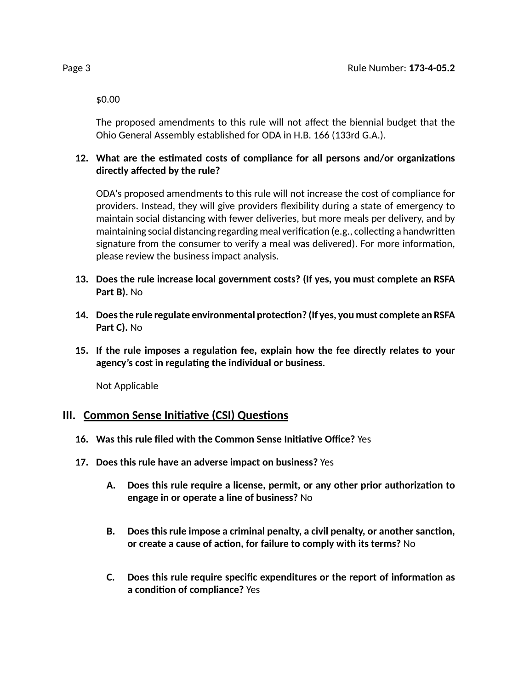\$0.00

The proposed amendments to this rule will not affect the biennial budget that the Ohio General Assembly established for ODA in H.B. 166 (133rd G.A.).

#### 12. What are the estimated costs of compliance for all persons and/or organizations **directly affected by the rule?**

ODA's proposed amendments to this rule will not increase the cost of compliance for providers. Instead, they will give providers flexibility during a state of emergency to maintain social distancing with fewer deliveries, but more meals per delivery, and by maintaining social distancing regarding meal verification (e.g., collecting a handwritten signature from the consumer to verify a meal was delivered). For more information, please review the business impact analysis.

- **13. Does the rule increase local government costs? (If yes, you must complete an RSFA Part B).** No
- **14. Doesthe rule regulate environmental protecon? (If yes, you must complete an RSFA Part C).** No
- **15. If the rule imposes a regulaon fee, explain how the fee directly relates to your agency's cost in regulang the individual or business.**

Not Applicable

### **III.** Common Sense Initiative (CSI) Questions

- **16. Was this rule filed with the Common Sense Iniave Office?** Yes
- **17. Does this rule have an adverse impact on business?** Yes
	- **A. Does this rule require a license, permit, or any other prior authorizaon to engage in or operate a line of business?** No
	- **B. Does this rule impose a criminal penalty, a civil penalty, or another sancon, or create a cause of acon, for failure to comply with its terms?** No
	- **C. Does this rule require specific expenditures or the report of informaon as a** condition of compliance? Yes